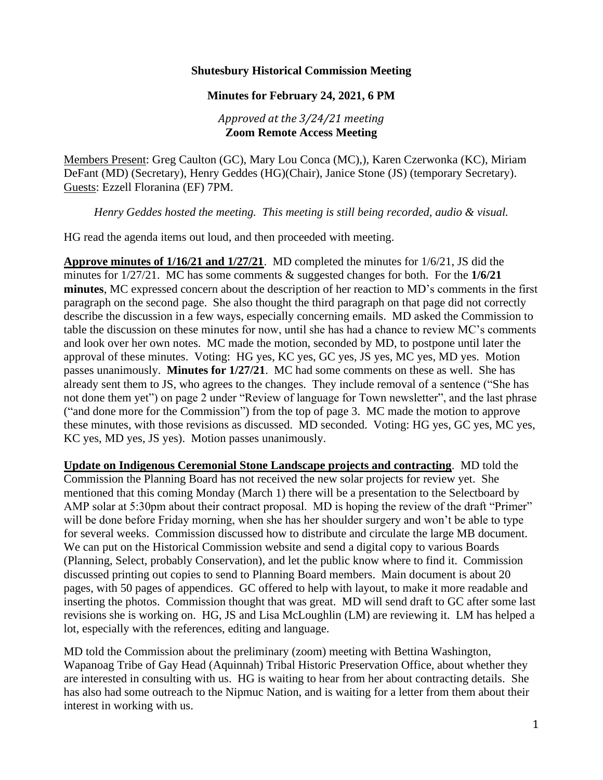### **Shutesbury Historical Commission Meeting**

## **Minutes for February 24, 2021, 6 PM**

### *Approved at the 3/24/21 meeting* **Zoom Remote Access Meeting**

Members Present: Greg Caulton (GC), Mary Lou Conca (MC),), Karen Czerwonka (KC), Miriam DeFant (MD) (Secretary), Henry Geddes (HG)(Chair), Janice Stone (JS) (temporary Secretary). Guests: Ezzell Floranina (EF) 7PM.

*Henry Geddes hosted the meeting. This meeting is still being recorded, audio & visual.*

HG read the agenda items out loud, and then proceeded with meeting.

**Approve minutes of 1/16/21 and 1/27/21**. MD completed the minutes for 1/6/21, JS did the minutes for 1/27/21. MC has some comments & suggested changes for both. For the **1/6/21 minutes**, MC expressed concern about the description of her reaction to MD's comments in the first paragraph on the second page. She also thought the third paragraph on that page did not correctly describe the discussion in a few ways, especially concerning emails. MD asked the Commission to table the discussion on these minutes for now, until she has had a chance to review MC's comments and look over her own notes. MC made the motion, seconded by MD, to postpone until later the approval of these minutes. Voting: HG yes, KC yes, GC yes, JS yes, MC yes, MD yes. Motion passes unanimously. **Minutes for 1/27/21**. MC had some comments on these as well. She has already sent them to JS, who agrees to the changes. They include removal of a sentence ("She has not done them yet") on page 2 under "Review of language for Town newsletter", and the last phrase ("and done more for the Commission") from the top of page 3. MC made the motion to approve these minutes, with those revisions as discussed. MD seconded. Voting: HG yes, GC yes, MC yes, KC yes, MD yes, JS yes). Motion passes unanimously.

**Update on Indigenous Ceremonial Stone Landscape projects and contracting**. MD told the Commission the Planning Board has not received the new solar projects for review yet. She mentioned that this coming Monday (March 1) there will be a presentation to the Selectboard by AMP solar at 5:30pm about their contract proposal. MD is hoping the review of the draft "Primer" will be done before Friday morning, when she has her shoulder surgery and won't be able to type for several weeks. Commission discussed how to distribute and circulate the large MB document. We can put on the Historical Commission website and send a digital copy to various Boards (Planning, Select, probably Conservation), and let the public know where to find it. Commission discussed printing out copies to send to Planning Board members. Main document is about 20 pages, with 50 pages of appendices. GC offered to help with layout, to make it more readable and inserting the photos. Commission thought that was great. MD will send draft to GC after some last revisions she is working on. HG, JS and Lisa McLoughlin (LM) are reviewing it. LM has helped a lot, especially with the references, editing and language.

MD told the Commission about the preliminary (zoom) meeting with Bettina Washington, Wapanoag Tribe of Gay Head (Aquinnah) Tribal Historic Preservation Office, about whether they are interested in consulting with us. HG is waiting to hear from her about contracting details. She has also had some outreach to the Nipmuc Nation, and is waiting for a letter from them about their interest in working with us.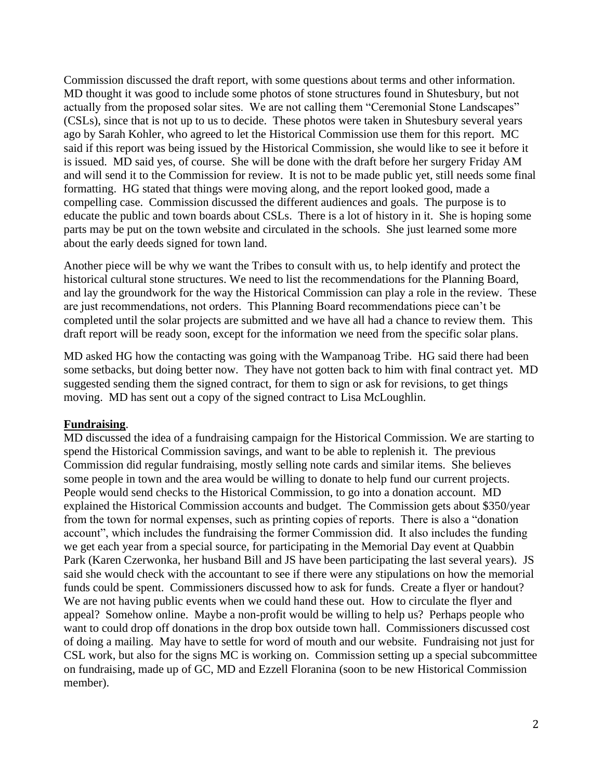Commission discussed the draft report, with some questions about terms and other information. MD thought it was good to include some photos of stone structures found in Shutesbury, but not actually from the proposed solar sites. We are not calling them "Ceremonial Stone Landscapes" (CSLs), since that is not up to us to decide. These photos were taken in Shutesbury several years ago by Sarah Kohler, who agreed to let the Historical Commission use them for this report. MC said if this report was being issued by the Historical Commission, she would like to see it before it is issued. MD said yes, of course. She will be done with the draft before her surgery Friday AM and will send it to the Commission for review. It is not to be made public yet, still needs some final formatting. HG stated that things were moving along, and the report looked good, made a compelling case. Commission discussed the different audiences and goals. The purpose is to educate the public and town boards about CSLs. There is a lot of history in it. She is hoping some parts may be put on the town website and circulated in the schools. She just learned some more about the early deeds signed for town land.

Another piece will be why we want the Tribes to consult with us, to help identify and protect the historical cultural stone structures. We need to list the recommendations for the Planning Board, and lay the groundwork for the way the Historical Commission can play a role in the review. These are just recommendations, not orders. This Planning Board recommendations piece can't be completed until the solar projects are submitted and we have all had a chance to review them. This draft report will be ready soon, except for the information we need from the specific solar plans.

MD asked HG how the contacting was going with the Wampanoag Tribe. HG said there had been some setbacks, but doing better now. They have not gotten back to him with final contract yet. MD suggested sending them the signed contract, for them to sign or ask for revisions, to get things moving. MD has sent out a copy of the signed contract to Lisa McLoughlin.

#### **Fundraising**.

MD discussed the idea of a fundraising campaign for the Historical Commission. We are starting to spend the Historical Commission savings, and want to be able to replenish it. The previous Commission did regular fundraising, mostly selling note cards and similar items. She believes some people in town and the area would be willing to donate to help fund our current projects. People would send checks to the Historical Commission, to go into a donation account. MD explained the Historical Commission accounts and budget. The Commission gets about \$350/year from the town for normal expenses, such as printing copies of reports. There is also a "donation account", which includes the fundraising the former Commission did. It also includes the funding we get each year from a special source, for participating in the Memorial Day event at Quabbin Park (Karen Czerwonka, her husband Bill and JS have been participating the last several years). JS said she would check with the accountant to see if there were any stipulations on how the memorial funds could be spent. Commissioners discussed how to ask for funds. Create a flyer or handout? We are not having public events when we could hand these out. How to circulate the flyer and appeal? Somehow online. Maybe a non-profit would be willing to help us? Perhaps people who want to could drop off donations in the drop box outside town hall. Commissioners discussed cost of doing a mailing. May have to settle for word of mouth and our website. Fundraising not just for CSL work, but also for the signs MC is working on. Commission setting up a special subcommittee on fundraising, made up of GC, MD and Ezzell Floranina (soon to be new Historical Commission member).